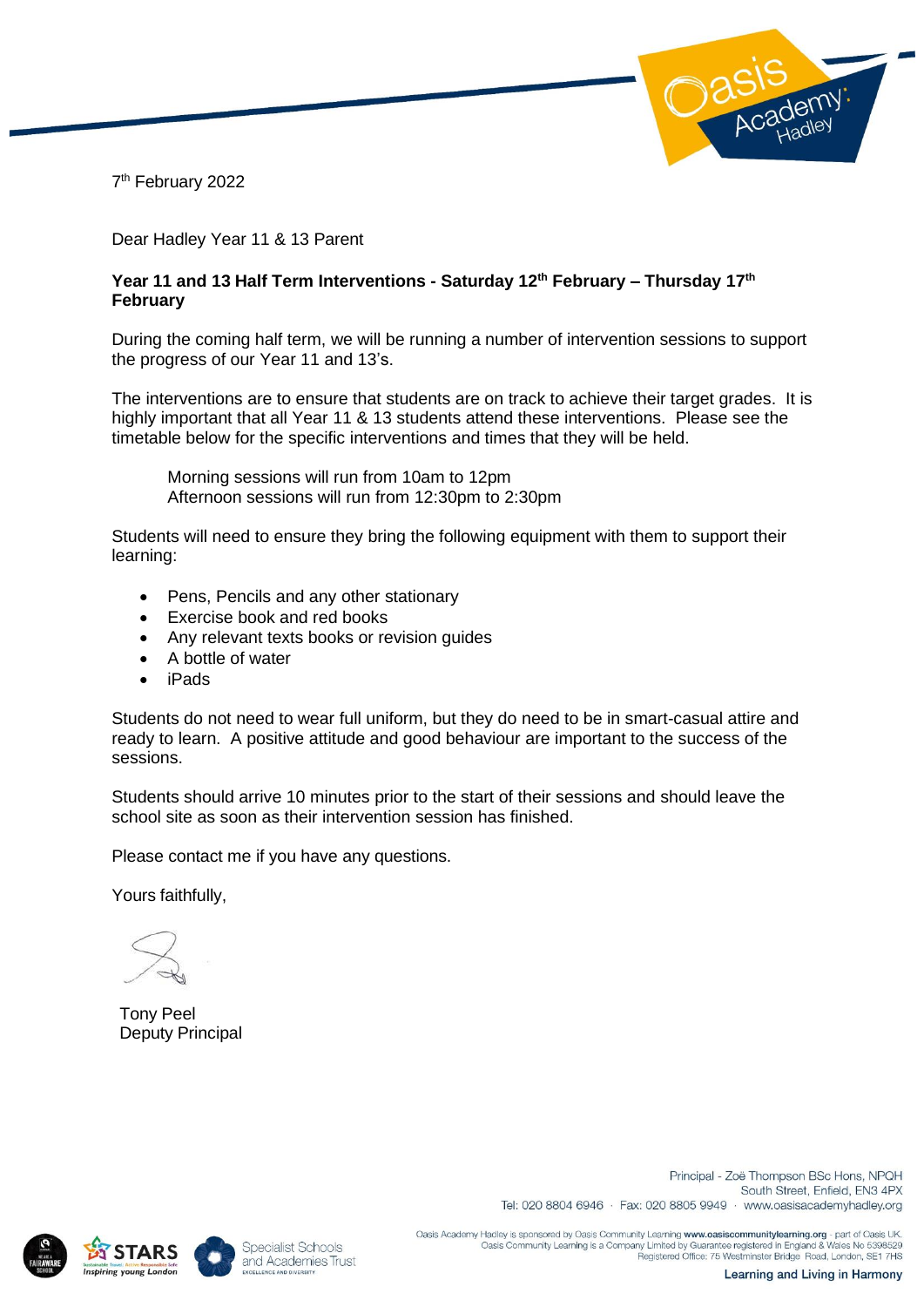

7 th February 2022

Dear Hadley Year 11 & 13 Parent

## **Year 11 and 13 Half Term Interventions - Saturday 12th February – Thursday 17th February**

During the coming half term, we will be running a number of intervention sessions to support the progress of our Year 11 and 13's.

The interventions are to ensure that students are on track to achieve their target grades. It is highly important that all Year 11 & 13 students attend these interventions. Please see the timetable below for the specific interventions and times that they will be held.

Morning sessions will run from 10am to 12pm Afternoon sessions will run from 12:30pm to 2:30pm

Students will need to ensure they bring the following equipment with them to support their learning:

- Pens, Pencils and any other stationary
- Exercise book and red books
- Any relevant texts books or revision guides
- A bottle of water
- iPads

Students do not need to wear full uniform, but they do need to be in smart-casual attire and ready to learn. A positive attitude and good behaviour are important to the success of the sessions.

Students should arrive 10 minutes prior to the start of their sessions and should leave the school site as soon as their intervention session has finished.

Please contact me if you have any questions.

Yours faithfully,

Tony Peel Deputy Principal







Principal - Zoë Thompson BSc Hons, NPQH South Street, Enfield, EN3 4PX Tel: 020 8804 6946 · Fax: 020 8805 9949 · www.oasisacademyhadley.org